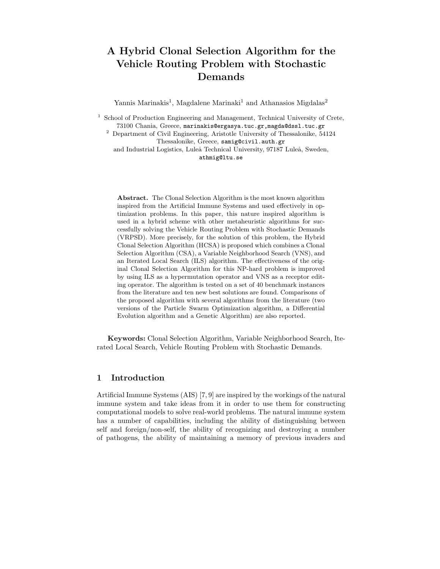# **A Hybrid Clonal Selection Algorithm for the Vehicle Routing Problem with Stochastic Demands**

Yannis Marinakis<sup>1</sup>, Magdalene Marinaki<sup>1</sup> and Athanasios Migdalas<sup>2</sup>

<sup>1</sup> School of Production Engineering and Management, Technical University of Crete, 73100 Chania, Greece, marinakis@ergasya.tuc.gr,magda@dssl.tuc.gr

<sup>2</sup> Department of Civil Engineering, Aristotle University of Thessalonike, 54124 Thessalonike, Greece, samig@civil.auth.gr

and Industrial Logistics, Luleå Technical University, 97187 Luleå, Sweden, athmig@ltu.se

**Abstract.** The Clonal Selection Algorithm is the most known algorithm inspired from the Artificial Immune Systems and used effectively in optimization problems. In this paper, this nature inspired algorithm is used in a hybrid scheme with other metaheuristic algorithms for successfully solving the Vehicle Routing Problem with Stochastic Demands (VRPSD). More precisely, for the solution of this problem, the Hybrid Clonal Selection Algorithm (HCSA) is proposed which combines a Clonal Selection Algorithm (CSA), a Variable Neighborhood Search (VNS), and an Iterated Local Search (ILS) algorithm. The effectiveness of the original Clonal Selection Algorithm for this NP-hard problem is improved by using ILS as a hypermutation operator and VNS as a receptor editing operator. The algorithm is tested on a set of 40 benchmark instances from the literature and ten new best solutions are found. Comparisons of the proposed algorithm with several algorithms from the literature (two versions of the Particle Swarm Optimization algorithm, a Differential Evolution algorithm and a Genetic Algorithm) are also reported.

**Keywords:** Clonal Selection Algorithm, Variable Neighborhood Search, Iterated Local Search, Vehicle Routing Problem with Stochastic Demands.

## **1 Introduction**

Artificial Immune Systems (AIS) [7, 9] are inspired by the workings of the natural immune system and take ideas from it in order to use them for constructing computational models to solve real-world problems. The natural immune system has a number of capabilities, including the ability of distinguishing between self and foreign/non-self, the ability of recognizing and destroying a number of pathogens, the ability of maintaining a memory of previous invaders and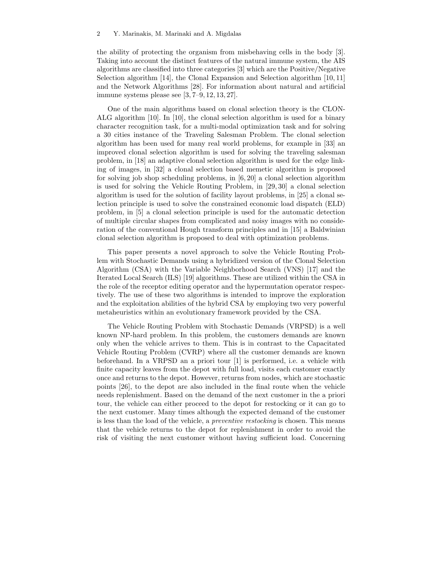the ability of protecting the organism from misbehaving cells in the body [3]. Taking into account the distinct features of the natural immune system, the AIS algorithms are classified into three categories [3] which are the Positive/Negative Selection algorithm [14], the Clonal Expansion and Selection algorithm [10, 11] and the Network Algorithms [28]. For information about natural and artificial immune systems please see [3, 7–9, 12, 13, 27].

One of the main algorithms based on clonal selection theory is the CLON-ALG algorithm [10]. In [10], the clonal selection algorithm is used for a binary character recognition task, for a multi-modal optimization task and for solving a 30 cities instance of the Traveling Salesman Problem. The clonal selection algorithm has been used for many real world problems, for example in [33] an improved clonal selection algorithm is used for solving the traveling salesman problem, in [18] an adaptive clonal selection algorithm is used for the edge linking of images, in [32] a clonal selection based memetic algorithm is proposed for solving job shop scheduling problems, in  $[6, 20]$  a clonal selection algorithm is used for solving the Vehicle Routing Problem, in [29, 30] a clonal selection algorithm is used for the solution of facility layout problems, in [25] a clonal selection principle is used to solve the constrained economic load dispatch (ELD) problem, in [5] a clonal selection principle is used for the automatic detection of multiple circular shapes from complicated and noisy images with no consideration of the conventional Hough transform principles and in [15] a Baldwinian clonal selection algorithm is proposed to deal with optimization problems.

This paper presents a novel approach to solve the Vehicle Routing Problem with Stochastic Demands using a hybridized version of the Clonal Selection Algorithm (CSA) with the Variable Neighborhood Search (VNS) [17] and the Iterated Local Search (ILS) [19] algorithms. These are utilized within the CSA in the role of the receptor editing operator and the hypermutation operator respectively. The use of these two algorithms is intended to improve the exploration and the exploitation abilities of the hybrid CSA by employing two very powerful metaheuristics within an evolutionary framework provided by the CSA.

The Vehicle Routing Problem with Stochastic Demands (VRPSD) is a well known NP-hard problem. In this problem, the customers demands are known only when the vehicle arrives to them. This is in contrast to the Capacitated Vehicle Routing Problem (CVRP) where all the customer demands are known beforehand. In a VRPSD an a priori tour [1] is performed, i.e. a vehicle with finite capacity leaves from the depot with full load, visits each customer exactly once and returns to the depot. However, returns from nodes, which are stochastic points [26], to the depot are also included in the final route when the vehicle needs replenishment. Based on the demand of the next customer in the a priori tour, the vehicle can either proceed to the depot for restocking or it can go to the next customer. Many times although the expected demand of the customer is less than the load of the vehicle, a *preventive restocking* is chosen. This means that the vehicle returns to the depot for replenishment in order to avoid the risk of visiting the next customer without having sufficient load. Concerning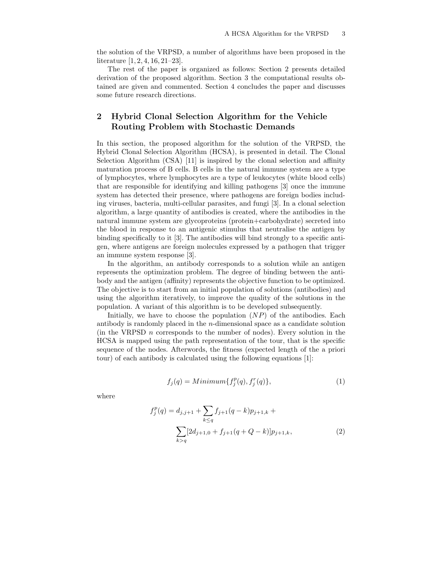the solution of the VRPSD, a number of algorithms have been proposed in the literature [1, 2, 4, 16, 21–23].

The rest of the paper is organized as follows: Section 2 presents detailed derivation of the proposed algorithm. Section 3 the computational results obtained are given and commented. Section 4 concludes the paper and discusses some future research directions.

## **2 Hybrid Clonal Selection Algorithm for the Vehicle Routing Problem with Stochastic Demands**

In this section, the proposed algorithm for the solution of the VRPSD, the Hybrid Clonal Selection Algorithm (HCSA), is presented in detail. The Clonal Selection Algorithm (CSA) [11] is inspired by the clonal selection and affinity maturation process of B cells. B cells in the natural immune system are a type of lymphocytes, where lymphocytes are a type of leukocytes (white blood cells) that are responsible for identifying and killing pathogens [3] once the immune system has detected their presence, where pathogens are foreign bodies including viruses, bacteria, multi-cellular parasites, and fungi [3]. In a clonal selection algorithm, a large quantity of antibodies is created, where the antibodies in the natural immune system are glycoproteins (protein+carbohydrate) secreted into the blood in response to an antigenic stimulus that neutralise the antigen by binding specifically to it [3]. The antibodies will bind strongly to a specific antigen, where antigens are foreign molecules expressed by a pathogen that trigger an immune system response [3].

In the algorithm, an antibody corresponds to a solution while an antigen represents the optimization problem. The degree of binding between the antibody and the antigen (affinity) represents the objective function to be optimized. The objective is to start from an initial population of solutions (antibodies) and using the algorithm iteratively, to improve the quality of the solutions in the population. A variant of this algorithm is to be developed subsequently.

Initially, we have to choose the population  $(NP)$  of the antibodies. Each antibody is randomly placed in the  $n$ -dimensional space as a candidate solution (in the VRPSD  $n$  corresponds to the number of nodes). Every solution in the HCSA is mapped using the path representation of the tour, that is the specific sequence of the nodes. Afterwords, the fitness (expected length of the a priori tour) of each antibody is calculated using the following equations [1]:

$$
f_j(q) = Minimum{f_j^p(q), f_j^r(q)},
$$
\n(1)

where

$$
f_j^p(q) = d_{j,j+1} + \sum_{k \le q} f_{j+1}(q-k)p_{j+1,k} + \sum_{k > q} [2d_{j+1,0} + f_{j+1}(q+Q-k)]p_{j+1,k},
$$
\n(2)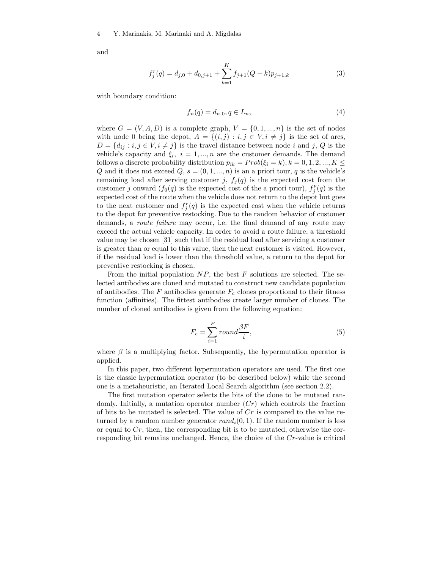and

$$
f_j^r(q) = d_{j,0} + d_{0,j+1} + \sum_{k=1}^K f_{j+1}(Q-k)p_{j+1,k}
$$
 (3)

with boundary condition:

$$
f_n(q) = d_{n,0}, q \in L_n,\tag{4}
$$

where  $G = (V, A, D)$  is a complete graph,  $V = \{0, 1, ..., n\}$  is the set of nodes with node 0 being the depot,  $A = \{(i, j) : i, j \in V, i \neq j\}$  is the set of arcs,  $D = \{d_{ij} : i, j \in V, i \neq j\}$  is the travel distance between node i and j, Q is the vehicle's capacity and  $\xi_i$ ,  $i = 1, ..., n$  are the customer demands. The demand follows a discrete probability distribution  $p_{ik} = Prob(\xi_i = k), k = 0, 1, 2, ..., K \leq$ Q and it does not exceed  $Q, s = (0, 1, ..., n)$  is an a priori tour, q is the vehicle's remaining load after serving customer j,  $f_j(q)$  is the expected cost from the customer j onward  $(f_0(q)$  is the expected cost of the a priori tour),  $f_j^p(q)$  is the expected cost of the route when the vehicle does not return to the depot but goes to the next customer and  $f_j^r(q)$  is the expected cost when the vehicle returns to the depot for preventive restocking. Due to the random behavior of customer demands, a *route failure* may occur, i.e. the final demand of any route may exceed the actual vehicle capacity. In order to avoid a route failure, a threshold value may be chosen [31] such that if the residual load after servicing a customer is greater than or equal to this value, then the next customer is visited. However, if the residual load is lower than the threshold value, a return to the depot for preventive restocking is chosen.

From the initial population  $NP$ , the best F solutions are selected. The selected antibodies are cloned and mutated to construct new candidate population of antibodies. The  $F$  antibodies generate  $F_c$  clones proportional to their fitness function (affinities). The fittest antibodies create larger number of clones. The number of cloned antibodies is given from the following equation:

$$
F_c = \sum_{i=1}^{F} round \frac{\beta F}{i},\tag{5}
$$

where  $\beta$  is a multiplying factor. Subsequently, the hypermutation operator is applied.

In this paper, two different hypermutation operators are used. The first one is the classic hypermutation operator (to be described below) while the second one is a metaheuristic, an Iterated Local Search algorithm (see section 2.2).

The first mutation operator selects the bits of the clone to be mutated randomly. Initially, a mutation operator number  $(Cr)$  which controls the fraction of bits to be mutated is selected. The value of  $Cr$  is compared to the value returned by a random number generator  $rand<sub>i</sub>(0, 1)$ . If the random number is less or equal to  $Cr$ , then, the corresponding bit is to be mutated, otherwise the corresponding bit remains unchanged. Hence, the choice of the Cr-value is critical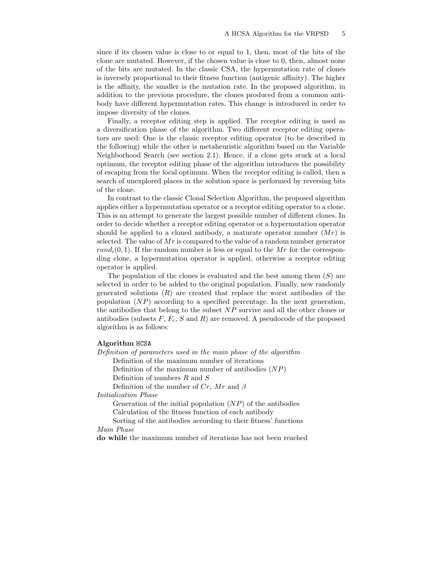since if its chosen value is close to or equal to 1, then, most of the bits of the clone are mutated. However, if the chosen value is close to 0, then, almost none of the bits are mutated. In the classic CSA, the hypermutation rate of clones is inversely proportional to their fitness function (antigenic affinity). The higher is the affinity, the smaller is the mutation rate. In the proposed algorithm, in addition to the previous procedure, the clones produced from a common antibody have different hypermutation rates. This change is introduced in order to impose diversity of the clones.

Finally, a receptor editing step is applied. The receptor editing is used as a diversification phase of the algorithm. Two different receptor editing operators are used: One is the classic receptor editing operator (to be described in the following) while the other is metaheuristic algorithm based on the Variable Neighborhood Search (see section 2.1). Hence, if a clone gets stuck at a local optimum, the receptor editing phase of the algorithm introduces the possibility of escaping from the local optimum. When the receptor editing is called, then a search of unexplored places in the solution space is performed by reversing bits of the clone.

In contrast to the classic Clonal Selection Algorithm, the proposed algorithm applies either a hypermutation operator or a receptor editing operator to a clone. This is an attempt to generate the largest possible number of different clones. In order to decide whether a receptor editing operator or a hypermutation operator should be applied to a cloned antibody, a maturate operator number  $(Mr)$  is selected. The value of  $Mr$  is compared to the value of a random number generator  $rand<sub>i</sub>(0, 1)$ . If the random number is less or equal to the Mr for the corresponding clone, a hypermutation operator is applied, otherwise a receptor editing operator is applied.

The population of the clones is evaluated and the best among them  $(S)$  are selected in order to be added to the original population. Finally, new randomly generated solutions  $(R)$  are created that replace the worst antibodies of the population  $(NP)$  according to a specified percentage. In the next generation, the antibodies that belong to the subset  $NP$  survive and all the other clones or antibodies (subsets  $F, F_c, S$  and  $R$ ) are removed. A pseudocode of the proposed algorithm is as follows:

### **Algorithm** HCSA

*Definition of parameters used in the main phase of the algorithm*

Definition of the maximum number of iterations

Definition of the maximum number of antibodies  $(NP)$ 

Definition of numbers  $R$  and  $S$ 

Definition of the number of  $Cr$ ,  $Mr$  and  $\beta$ 

*Initialization Phase*

Generation of the initial population  $(NP)$  of the antibodies

Calculation of the fitness function of each antibody

Sorting of the antibodies according to their fitness' functions *Main Phase*

**do while** the maximum number of iterations has not been reached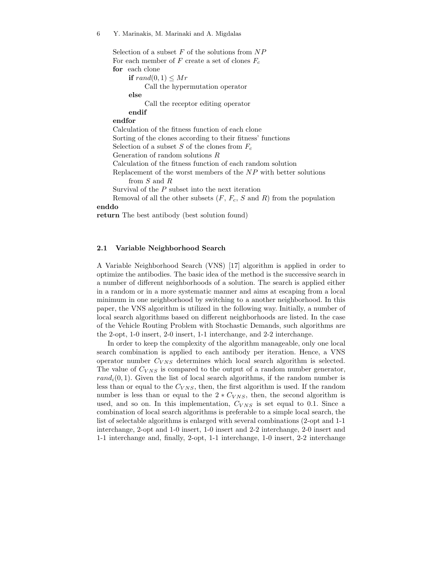Selection of a subset  $F$  of the solutions from  $NP$ For each member of F create a set of clones F*<sup>c</sup>* **for** each clone **if** rand $(0, 1) \leq Mr$ Call the hypermutation operator **else** Call the receptor editing operator **endif endfor** Calculation of the fitness function of each clone Sorting of the clones according to their fitness' functions Selection of a subset  $S$  of the clones from  $F_c$ Generation of random solutions R Calculation of the fitness function of each random solution Replacement of the worst members of the NP with better solutions from S and R Survival of the P subset into the next iteration Removal of all the other subsets  $(F, F_c, S$  and  $R)$  from the population **enddo return** The best antibody (best solution found)

## **2.1 Variable Neighborhood Search**

A Variable Neighborhood Search (VNS) [17] algorithm is applied in order to optimize the antibodies. The basic idea of the method is the successive search in a number of different neighborhoods of a solution. The search is applied either in a random or in a more systematic manner and aims at escaping from a local minimum in one neighborhood by switching to a another neighborhood. In this paper, the VNS algorithm is utilized in the following way. Initially, a number of local search algorithms based on different neighborhoods are listed. In the case of the Vehicle Routing Problem with Stochastic Demands, such algorithms are the 2-opt, 1-0 insert, 2-0 insert, 1-1 interchange, and 2-2 interchange.

In order to keep the complexity of the algorithm manageable, only one local search combination is applied to each antibody per iteration. Hence, a VNS operator number C*VNS* determines which local search algorithm is selected. The value of C*VNS* is compared to the output of a random number generator,  $rand<sub>i</sub>(0, 1)$ . Given the list of local search algorithms, if the random number is less than or equal to the C*VNS*, then, the first algorithm is used. If the random number is less than or equal to the  $2 * C_{VNS}$ , then, the second algorithm is used, and so on. In this implementation,  $C_{VNS}$  is set equal to 0.1. Since a combination of local search algorithms is preferable to a simple local search, the list of selectable algorithms is enlarged with several combinations (2-opt and 1-1 interchange, 2-opt and 1-0 insert, 1-0 insert and 2-2 interchange, 2-0 insert and 1-1 interchange and, finally, 2-opt, 1-1 interchange, 1-0 insert, 2-2 interchange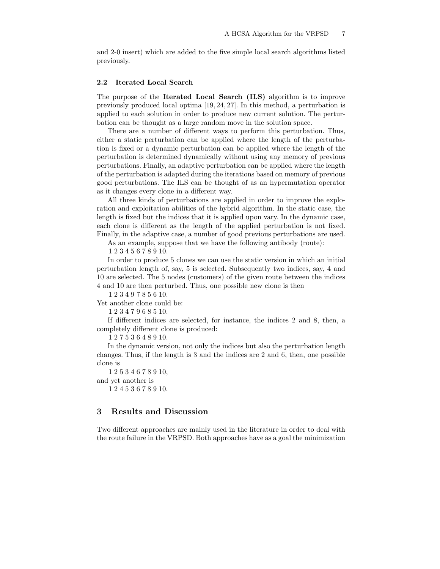and 2-0 insert) which are added to the five simple local search algorithms listed previously.

### **2.2 Iterated Local Search**

The purpose of the **Iterated Local Search (ILS)** algorithm is to improve previously produced local optima [19, 24, 27]. In this method, a perturbation is applied to each solution in order to produce new current solution. The perturbation can be thought as a large random move in the solution space.

There are a number of different ways to perform this perturbation. Thus, either a static perturbation can be applied where the length of the perturbation is fixed or a dynamic perturbation can be applied where the length of the perturbation is determined dynamically without using any memory of previous perturbations. Finally, an adaptive perturbation can be applied where the length of the perturbation is adapted during the iterations based on memory of previous good perturbations. The ILS can be thought of as an hypermutation operator as it changes every clone in a different way.

All three kinds of perturbations are applied in order to improve the exploration and exploitation abilities of the hybrid algorithm. In the static case, the length is fixed but the indices that it is applied upon vary. In the dynamic case, each clone is different as the length of the applied perturbation is not fixed. Finally, in the adaptive case, a number of good previous perturbations are used.

As an example, suppose that we have the following antibody (route):

1 2 3 4 5 6 7 8 9 10.

In order to produce 5 clones we can use the static version in which an initial perturbation length of, say, 5 is selected. Subsequently two indices, say, 4 and 10 are selected. The 5 nodes (customers) of the given route between the indices 4 and 10 are then perturbed. Thus, one possible new clone is then

1 2 3 4 9 7 8 5 6 10.

Yet another clone could be:

1 2 3 4 7 9 6 8 5 10.

If different indices are selected, for instance, the indices 2 and 8, then, a completely different clone is produced:

1 2 7 5 3 6 4 8 9 10.

In the dynamic version, not only the indices but also the perturbation length changes. Thus, if the length is 3 and the indices are 2 and 6, then, one possible clone is

1 2 5 3 4 6 7 8 9 10, and yet another is

1 2 4 5 3 6 7 8 9 10.

### **3 Results and Discussion**

Two different approaches are mainly used in the literature in order to deal with the route failure in the VRPSD. Both approaches have as a goal the minimization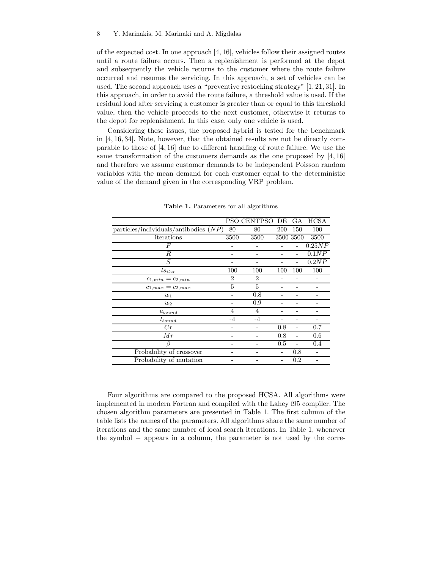of the expected cost. In one approach [4, 16], vehicles follow their assigned routes until a route failure occurs. Then a replenishment is performed at the depot and subsequently the vehicle returns to the customer where the route failure occurred and resumes the servicing. In this approach, a set of vehicles can be used. The second approach uses a "preventive restocking strategy" [1, 21, 31]. In this approach, in order to avoid the route failure, a threshold value is used. If the residual load after servicing a customer is greater than or equal to this threshold value, then the vehicle proceeds to the next customer, otherwise it returns to the depot for replenishment. In this case, only one vehicle is used.

Considering these issues, the proposed hybrid is tested for the benchmark in [4, 16, 34]. Note, however, that the obtained results are not be directly comparable to those of [4, 16] due to different handling of route failure. We use the same transformation of the customers demands as the one proposed by [4, 16] and therefore we assume customer demands to be independent Poisson random variables with the mean demand for each customer equal to the deterministic value of the demand given in the corresponding VRP problem.

|                                         |                | <b>PSO CENTPSO</b> | DE  | GА        | <b>HCSA</b> |
|-----------------------------------------|----------------|--------------------|-----|-----------|-------------|
| particles/individuals/antibodies $(NP)$ | 80             | 80                 | 200 | 150       | 100         |
| iterations                              | 3500           | 3500               |     | 3500 3500 | 3500        |
| F                                       |                |                    |     |           | 0.25NP      |
| R                                       |                |                    |     |           | 0.1NP       |
| $\mathcal{S}$                           |                |                    |     |           | 0.2NP       |
| $ls_{iter}$                             | 100            | 100                | 100 | 100       | 100         |
| $c_{1,min} = c_{2,min}$                 | $\overline{2}$ | $\overline{2}$     |     |           |             |
| $c_{1,max} = c_{2,max}$                 | 5              | 5                  |     |           |             |
| $\boldsymbol{w}_1$                      |                | 0.8                |     |           |             |
| $w_2$                                   |                | 0.9                |     |           |             |
| $u_{bound}$                             | $\overline{4}$ | 4                  |     |           |             |
| $l_{bound}$                             | $-4$           | $-4$               |     |           |             |
| Cr                                      |                |                    | 0.8 |           | 0.7         |
| Mr                                      |                |                    | 0.8 |           | 0.6         |
| ß                                       |                |                    | 0.5 |           | 0.4         |
| Probability of crossover                |                |                    |     | 0.8       | ۰           |
| Probability of mutation                 |                |                    |     | 0.2       |             |

**Table 1.** Parameters for all algorithms

Four algorithms are compared to the proposed HCSA. All algorithms were implemented in modern Fortran and compiled with the Lahey f95 compiler. The chosen algorithm parameters are presented in Table 1. The first column of the table lists the names of the parameters. All algorithms share the same number of iterations and the same number of local search iterations. In Table 1, whenever the symbol − appears in a column, the parameter is not used by the corre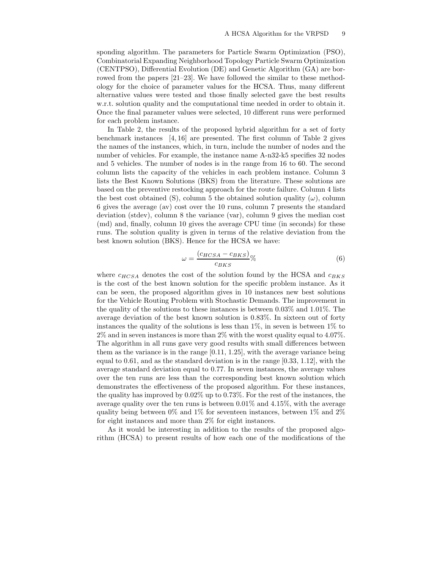sponding algorithm. The parameters for Particle Swarm Optimization (PSO), Combinatorial Expanding Neighborhood Topology Particle Swarm Optimization (CENTPSO), Differential Evolution (DE) and Genetic Algorithm (GA) are borrowed from the papers [21–23]. We have followed the similar to these methodology for the choice of parameter values for the HCSA. Thus, many different alternative values were tested and those finally selected gave the best results w.r.t. solution quality and the computational time needed in order to obtain it. Once the final parameter values were selected, 10 different runs were performed for each problem instance.

In Table 2, the results of the proposed hybrid algorithm for a set of forty benchmark instances [4, 16] are presented. The first column of Table 2 gives the names of the instances, which, in turn, include the number of nodes and the number of vehicles. For example, the instance name A-n32-k5 specifies 32 nodes and 5 vehicles. The number of nodes is in the range from 16 to 60. The second column lists the capacity of the vehicles in each problem instance. Column 3 lists the Best Known Solutions (BKS) from the literature. These solutions are based on the preventive restocking approach for the route failure. Column 4 lists the best cost obtained (S), column 5 the obtained solution quality  $(\omega)$ , column 6 gives the average (av) cost over the 10 runs, column 7 presents the standard deviation (stdev), column 8 the variance (var), column 9 gives the median cost (md) and, finally, column 10 gives the average CPU time (in seconds) for these runs. The solution quality is given in terms of the relative deviation from the best known solution (BKS). Hence for the HCSA we have:

$$
\omega = \frac{(c_{HCSA} - c_{BKS})}{c_{BKS}}\%
$$
\n(6)

where c*HCSA* denotes the cost of the solution found by the HCSA and c*BKS* is the cost of the best known solution for the specific problem instance. As it can be seen, the proposed algorithm gives in 10 instances new best solutions for the Vehicle Routing Problem with Stochastic Demands. The improvement in the quality of the solutions to these instances is between 0.03% and 1.01%. The average deviation of the best known solution is 0.83%. In sixteen out of forty instances the quality of the solutions is less than  $1\%$ , in seven is between  $1\%$  to 2% and in seven instances is more than 2% with the worst quality equal to 4.07%. The algorithm in all runs gave very good results with small differences between them as the variance is in the range  $[0.11, 1.25]$ , with the average variance being equal to 0.61, and as the standard deviation is in the range [0.33, 1.12], with the average standard deviation equal to 0.77. In seven instances, the average values over the ten runs are less than the corresponding best known solution which demonstrates the effectiveness of the proposed algorithm. For these instances, the quality has improved by 0.02% up to 0.73%. For the rest of the instances, the average quality over the ten runs is between 0.01% and 4.15%, with the average quality being between  $0\%$  and  $1\%$  for seventeen instances, between  $1\%$  and  $2\%$ for eight instances and more than 2% for eight instances.

As it would be interesting in addition to the results of the proposed algorithm (HCSA) to present results of how each one of the modifications of the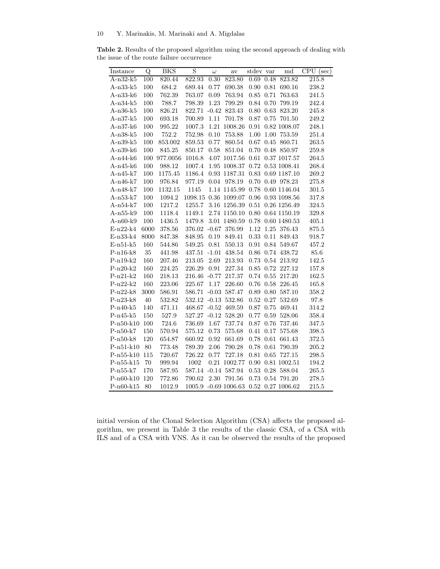**Table 2.** Results of the proposed algorithm using the second approach of dealing with the issue of the route failure occurrence

| Instance    | Q       | BKS      | S            | $\omega$ | av                   | stdev         | var      | md                      | CPU<br>(sec) |
|-------------|---------|----------|--------------|----------|----------------------|---------------|----------|-------------------------|--------------|
| $A-n32-k5$  | 100     | 820.44   | 822.93       | 0.30     | 823.80               | 0.69          | 0.48     | 823.82                  | 215.8        |
| $A-n33-k5$  | 100     | 684.2    | 689.44       | 0.77     | 690.38               | 0.90          | 0.81     | 690.16                  | 238.2        |
| $A-n33-k6$  | 100     | 762.39   | 763.07       | 0.09     | 763.94               | 0.85          | 0.71     | 763.63                  | 241.5        |
| $A-n34-k5$  | 100     | 788.7    | 798.39       | 1.23     | 799.29               | 0.84          | 0.70     | 799.19                  | 242.4        |
| A-n36-k5    | 100     | 826.21   | 822.71       | $-0.42$  | 823.43               | 0.80          | 0.63     | 823.20                  | 245.8        |
| A-n37-k5    | 100     | 693.18   | 700.89       | $1.11\,$ | 701.78               | 0.87          | 0.75     | 701.50                  | 249.2        |
| $A-n37-k6$  | 100     | 995.22   | 1007.3       | 1.21     | 1008.26              | $\rm 0.91$    |          | 0.82 1008.07            | 248.1        |
| $A-n38-k5$  | 100     | 752.2    | 752.98       | 0.10     | 753.88               | 1.00          | 1.00     | 753.59                  | 251.4        |
| $A-n39-k5$  | 100     | 853.002  | 859.53       | 0.77     | 860.54               | 0.67          | 0.45     | 860.71                  | 263.5        |
| $A-n39-k6$  | 100     | 845.25   | 850.17       | 0.58     | 851.04               | 0.70          | $0.48\,$ | 850.97                  | 259.8        |
| A-n44-k6    | 100     | 977.0056 | 1016.8       |          | 4.07 1017.56         | $\rm 0.61$    |          | $0.37$ 1017.57          | 264.5        |
| $A-n45-k6$  | $100\,$ | 988.12   | 1007.4       | 1.95     | 1008.37              | $0.72\,$      |          | 0.53 1008.41            | 268.4        |
| $A-n45-k7$  | 100     | 1175.45  | 1186.4       |          | 0.93 1187.31         |               |          | $0.83$ 0.69 1187.10     | 269.2        |
| A-n46-k7    | 100     | 976.84   | 977.19       | 0.04     | 978.19               | 0.70          | 0.49     | 978.23                  | 275.8        |
| $A-n48-k7$  | 100     | 1132.15  | 1145         |          | 1.14 1145.99         | 0.78          |          | 0.60 1146.04            | 301.5        |
| $A-n53-k7$  | 100     | 1094.2   |              |          | 1098.15 0.36 1099.07 | 0.96          |          | 0.93 1098.56            | 317.8        |
| A-n54-k7    | 100     | 1217.2   | 1255.7       |          | 3.16 1256.39         | $0.51\,$      |          | $0.26$ 1256.49          | 324.5        |
| A-n55-k9    | $100\,$ | 1118.4   | 1149.1       |          | 2.74 1150.10         | 0.80          |          | 0.64 1150.19            | 329.8        |
| $A-n60-k9$  | 100     | 1436.5   | 1479.8       |          | 3.01 1480.59         | 0.78          |          | 0.60 1480.53            | 405.1        |
| $E-n22-k4$  | 6000    | 378.56   | 376.02       | $-0.67$  | 376.99               | 1.12          | 1.25     | 376.43                  | 875.5        |
| $E-n33-k4$  | 8000    | 847.38   | 848.95       | 0.19     | 849.41               | 0.33          | 0.11     | 849.43                  | 918.7        |
| $E-n51-k5$  | 160     | 544.86   | 549.25       | 0.81     | 550.13               | 0.91          | 0.84     | 549.67                  | 457.2        |
| $P-n16-k8$  | $35\,$  | 441.98   | 437.51       | $-1.01$  | 438.54               | $0.86\,$      |          | 0.74 438.72             | $85.6\,$     |
| $P-n19-k2$  | 160     | 207.46   | 213.05       | 2.69     | 213.93               | $0.73$ $0.54$ |          | 213.92                  | 142.5        |
| $P-n20-k2$  | 160     | 224.25   | 226.29       | 0.91     | 227.34               | 0.85          | 0.72     | 227.12                  | 157.8        |
| $P-n21-k2$  | 160     | 218.13   | 216.46       | $-0.77$  | 217.37               | 0.74          | $0.55\,$ | 217.20                  | 162.5        |
| $P-n22-k2$  | 160     | 223.06   | 225.67       | 1.17     | 226.60               | 0.76          | 0.58     | 226.45                  | 165.8        |
| $P-n22-k8$  | 3000    | 586.91   | 586.71       | $-0.03$  | 587.47               | 0.89          | 0.80     | 587.10                  | 358.2        |
| $P-n23-k8$  | 40      | 532.82   | 532.12 -0.13 |          | 532.86               | $\rm 0.52$    | 0.27     | 532.69                  | 97.8         |
| $P-n40-k5$  | 140     | 471.11   | 468.67 -0.52 |          | 469.59               | 0.87          | 0.75     | 469.41                  | 314.2        |
| $P-n45-k5$  | 150     | 527.9    | 527.27       | $-0.12$  | 528.20               | 0.77          | 0.59     | 528.06                  | 358.4        |
| $P-n50-k10$ | 100     | 724.6    | 736.69       | 1.67     | 737.74               | 0.87          | 0.76     | 737.46                  | 347.5        |
| $P-n50-k7$  | 150     | 570.94   | 575.12       | 0.73     | 575.68               | 0.41          | 0.17     | 575.68                  | 398.5        |
| $P-n50-k8$  | 120     | 654.87   | 660.92       | 0.92     | 661.69               | 0.78          | 0.61     | 661.43                  | 372.5        |
| $P-n51-k10$ | 80      | 773.48   | 789.39       | 2.06     | 790.28               | $0.78\,$      | 0.61     | 790.39                  | 205.2        |
| $P-n55-k10$ | 115     | 720.67   | 726.22       | 0.77     | 727.18               | 0.81          | 0.65     | 727.15                  | 298.5        |
| $P-n55-k15$ | 70      | 999.94   | 1002         | 0.21     | 1002.77              | $0.90\,$      |          | 0.81 1002.51            | 194.2        |
| $P-n55-k7$  | 170     | 587.95   | 587.14 -0.14 |          | 587.94               | 0.53          | 0.28     | 588.04                  | 265.5        |
| $P-n60-k10$ | 120     | 772.86   | 790.62       | 2.30     | 791.56               | 0.73          | 0.54     | 791.20                  | 278.5        |
| $P-n60-k15$ | 80      | 1012.9   |              |          | 1005.9 -0.69 1006.63 |               |          | $0.52$ $0.27$ $1006.62$ | $215.5\,$    |

initial version of the Clonal Selection Algorithm (CSA) affects the proposed algorithm, we present in Table 3 the results of the classic CSA, of a CSA with ILS and of a CSA with VNS. As it can be observed the results of the proposed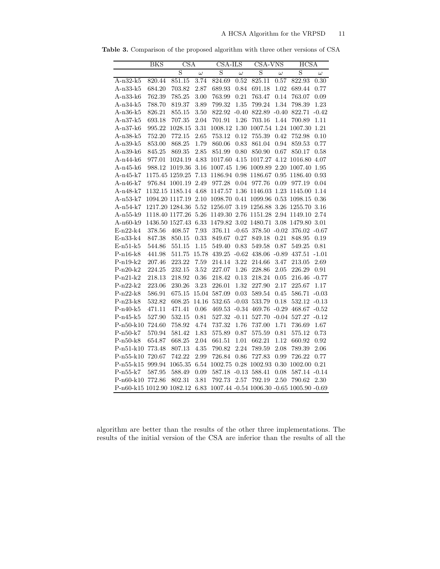|                           | <b>BKS</b>      | <b>CSA</b>           |          | $CSA-ILS$    |          | CSA-VNS      |          | <b>HCSA</b>                               |          |  |
|---------------------------|-----------------|----------------------|----------|--------------|----------|--------------|----------|-------------------------------------------|----------|--|
|                           |                 | S                    | $\omega$ | S            | $\omega$ | S            | $\omega$ | $\overline{S}$                            | $\omega$ |  |
| A-n32-k5                  | 820.44          | 851.15               | 3.74     | 824.69       | 0.52     | 825.11       | 0.57     | 822.93                                    | 0.30     |  |
| A-n33-k5                  | 684.20          | 703.82               | 2.87     | 689.93       | 0.84     | 691.18       | 1.02     | 689.44                                    | 0.77     |  |
| $A-n33-k6$                | 762.39          | 785.25               | 3.00     | 763.99       | 0.21     | 763.47       | 0.14     | 763.07                                    | 0.09     |  |
| A-n34-k5                  | 788.70          | 819.37               | 3.89     | 799.32       | 1.35     | 799.24       | 1.34     | 798.39                                    | $1.23\,$ |  |
| A-n36-k5                  | 826.21          | 855.15               | 3.50     | 822.92       | $-0.40$  | 822.89       | $-0.40$  | 822.71                                    | $-0.42$  |  |
| A-n37-k5                  | 693.18          | 707.35               | 2.04     | 701.91       | $1.26\,$ | 703.16       | 1.44     | 700.89                                    | 1.11     |  |
| A-n37-k6                  | 995.22          | 1028.15              | 3.31     | 1008.12      | 1.30     | 1007.54      | 1.24     | 1007.30                                   | 1.21     |  |
| A-n38-k5                  | 752.20          | 772.15               | 2.65     | 753.12       | 0.12     | 755.39       | 0.42     | 752.98                                    | 0.10     |  |
| A-n39-k5                  | 853.00          | 868.25               | 1.79     | 860.06       | 0.83     | 861.04       | 0.94     | 859.53                                    | 0.77     |  |
| $A-n39-k6$                | 845.25          | 869.35               | 2.85     | 851.99       | 0.80     | 850.90       | 0.67     | 850.17                                    | 0.58     |  |
| A-n44-k6                  | 977.01          | 1024.19              | 4.83     | 1017.60      | 4.15     | 1017.27      | 4.12     | 1016.80                                   | 4.07     |  |
| A-n45-k6                  | 988.12          | 1019.36              | 3.16     | 1007.45      | 1.96     | 1009.89      | 2.20     | 1007.40                                   | 1.95     |  |
| A-n45-k7                  |                 | 1175.45 1259.25      | 7.13     | 1186.94 0.98 |          | 1186.67      | 0.95     | 1186.40 0.93                              |          |  |
| A-n46-k7                  | 976.84          | 1001.19              | 2.49     | 977.28       | 0.04     | 977.76       | 0.09     | 977.19                                    | 0.04     |  |
| A-n48-k7                  |                 | 1132.15 1185.14      | 4.68     | 1147.57      | 1.36     | 1146.03      | 1.23     | 1145.00                                   | 1.14     |  |
| A-n53-k7                  |                 | 1094.20 1117.19 2.10 |          | 1098.70 0.41 |          | 1099.96 0.53 |          | 1098.15 0.36                              |          |  |
| A-n54-k7                  |                 | 1217.20 1284.36      | 5.52     | 1256.07 3.19 |          | 1256.88 3.26 |          | 1255.70 3.16                              |          |  |
| $A-n55-k9$                | 1118.40 1177.26 |                      | 5.26     | 1149.30 2.76 |          | 1151.28 2.94 |          | 1149.10                                   | 2.74     |  |
| A-n60-k9                  |                 | 1436.50 1527.43      | 6.33     | 1479.82 3.02 |          | 1480.71 3.08 |          | 1479.80                                   | 3.01     |  |
| E-n22-k4                  | 378.56          | 408.57               | 7.93     | 376.11       | $-0.65$  | 378.50       | $-0.02$  | 376.02                                    | $-0.67$  |  |
| E-n33-k4                  | 847.38          | 850.15               | 0.33     | 849.67       | 0.27     | 849.18       | 0.21     | 848.95                                    | 0.19     |  |
| E-n51-k5                  | 544.86          | 551.15               | 1.15     | 549.40       | 0.83     | 549.58       | 0.87     | 549.25                                    | 0.81     |  |
| P-n16-k8                  | 441.98          | 511.75               | 15.78    | 439.25       | $-0.62$  | 438.06       | $-0.89$  | 437.51                                    | $-1.01$  |  |
| P-n19-k2                  | 207.46          | 223.22               | 7.59     | 214.14       | 3.22     | 214.66       | 3.47     | 213.05                                    | 2.69     |  |
| $P-n20-k2$                | 224.25          | 232.15               | 3.52     | 227.07       | 1.26     | 228.86       | 2.05     | 226.29                                    | 0.91     |  |
| $P-n21-k2$                | 218.13          | 218.92               | 0.36     | 218.42       | 0.13     | 218.24       | 0.05     | 216.46                                    | $-0.77$  |  |
| $P-n22-k2$                | 223.06          | 230.26               | 3.23     | 226.01       | 1.32     | 227.90       | 2.17     | 225.67                                    | 1.17     |  |
| $P-n22-k8$                | 586.91          | 675.15               | 15.04    | 587.09       | 0.03     | 589.54       | 0.45     | 586.71                                    | $-0.03$  |  |
| $P-n23-k8$                | 532.82          | 608.25               | 14.16    | 532.65       | $-0.03$  | 533.79       | 0.18     | 532.12                                    | $-0.13$  |  |
| $P-n40-k5$                | 471.11          | 471.41               | 0.06     | 469.53       | $-0.34$  | 469.76       | $-0.29$  | 468.67                                    | $-0.52$  |  |
| $P-n45-k5$                | 527.90          | 532.15               | 0.81     | 527.32       | $-0.11$  | 527.70       | $-0.04$  | 527.27                                    | $-0.12$  |  |
| $P-n50-k10$               | 724.60          | 758.92               | 4.74     | 737.32       | 1.76     | 737.00       | 1.71     | 736.69                                    | 1.67     |  |
| $P-n50-k7$                | 570.94          | 581.42               | 1.83     | 575.89       | 0.87     | 575.59       | 0.81     | 575.12                                    | 0.73     |  |
| $P-n50-k8$                | 654.87          | 668.25               | 2.04     | 661.51       | $1.01\,$ | 662.21       | 1.12     | 660.92                                    | 0.92     |  |
| $P-n51-k10$               | 773.48          | 807.13               | 4.35     | 790.82       | 2.24     | 789.59       | 2.08     | 789.39                                    | 2.06     |  |
| $P-n55-k10$               | 720.67          | 742.22               | 2.99     | 726.84       | 0.86     | 727.83       | 0.99     | 726.22                                    | 0.77     |  |
| P-n55-k15                 | 999.94          | 1065.35              | 6.54     | 1002.75      | 0.28     | 1002.93      | 0.30     | 1002.00                                   | 0.21     |  |
| $P-n55-k7$                | 587.95          | 588.49               | 0.09     | 587.18       | $-0.13$  | 588.41       | 0.08     | 587.14                                    | $-0.14$  |  |
| P-n60-k10                 | 772.86          | 802.31               | 3.81     | 792.73       | 2.57     | 792.19       | 2.50     | 790.62                                    | 2.30     |  |
| P-n60-k15 1012.90 1082.12 |                 |                      | 6.83     |              |          |              |          | 1007.44 -0.54 1006.30 -0.65 1005.90 -0.69 |          |  |

**Table 3.** Comparison of the proposed algorithm with three other versions of CSA

algorithm are better than the results of the other three implementations. The results of the initial version of the CSA are inferior than the results of all the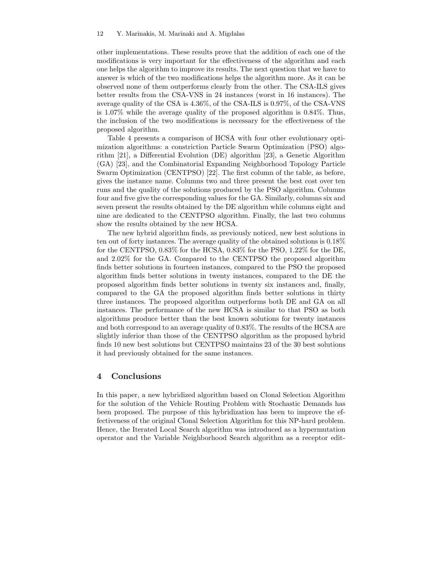other implementations. These results prove that the addition of each one of the modifications is very important for the effectiveness of the algorithm and each one helps the algorithm to improve its results. The next question that we have to answer is which of the two modifications helps the algorithm more. As it can be observed none of them outperforms clearly from the other. The CSA-ILS gives better results from the CSA-VNS in 24 instances (worst in 16 instances). The average quality of the CSA is 4.36%, of the CSA-ILS is 0.97%, of the CSA-VNS is 1.07% while the average quality of the proposed algorithm is 0.84%. Thus, the inclusion of the two modifications is necessary for the effectiveness of the proposed algorithm.

Table 4 presents a comparison of HCSA with four other evolutionary optimization algorithms: a constriction Particle Swarm Optimization (PSO) algorithm [21], a Differential Evolution (DE) algorithm [23], a Genetic Algorithm (GA) [23], and the Combinatorial Expanding Neighborhood Topology Particle Swarm Optimization (CENTPSO) [22]. The first column of the table, as before, gives the instance name. Columns two and three present the best cost over ten runs and the quality of the solutions produced by the PSO algorithm. Columns four and five give the corresponding values for the GA. Similarly, columns six and seven present the results obtained by the DE algorithm while columns eight and nine are dedicated to the CENTPSO algorithm. Finally, the last two columns show the results obtained by the new HCSA.

The new hybrid algorithm finds, as previously noticed, new best solutions in ten out of forty instances. The average quality of the obtained solutions is 0.18% for the CENTPSO, 0.83% for the HCSA, 0.83% for the PSO, 1.22% for the DE, and 2.02% for the GA. Compared to the CENTPSO the proposed algorithm finds better solutions in fourteen instances, compared to the PSO the proposed algorithm finds better solutions in twenty instances, compared to the DE the proposed algorithm finds better solutions in twenty six instances and, finally, compared to the GA the proposed algorithm finds better solutions in thirty three instances. The proposed algorithm outperforms both DE and GA on all instances. The performance of the new HCSA is similar to that PSO as both algorithms produce better than the best known solutions for twenty instances and both correspond to an average quality of 0.83%. The results of the HCSA are slightly inferior than those of the CENTPSO algorithm as the proposed hybrid finds 10 new best solutions but CENTPSO maintains 23 of the 30 best solutions it had previously obtained for the same instances.

### **4 Conclusions**

In this paper, a new hybridized algorithm based on Clonal Selection Algorithm for the solution of the Vehicle Routing Problem with Stochastic Demands has been proposed. The purpose of this hybridization has been to improve the effectiveness of the original Clonal Selection Algorithm for this NP-hard problem. Hence, the Iterated Local Search algorithm was introduced as a hypermutation operator and the Variable Neighborhood Search algorithm as a receptor edit-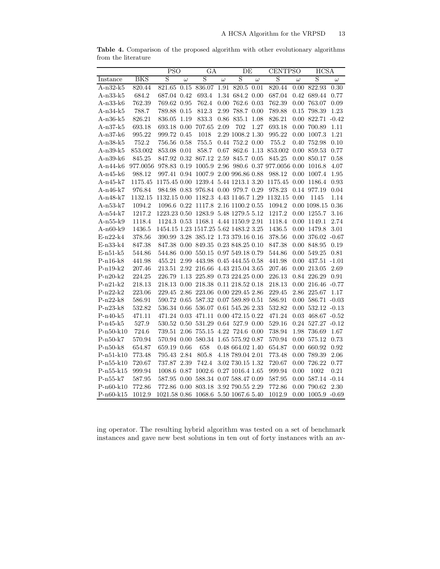**Table 4.** Comparison of the proposed algorithm with other evolutionary algorithms from the literature

|                 |            | <b>PSO</b>                           |          | GА                                    |          | DE               |          | <b>CENTPSO</b>                |          | <b>HCSA</b>           |          |
|-----------------|------------|--------------------------------------|----------|---------------------------------------|----------|------------------|----------|-------------------------------|----------|-----------------------|----------|
| Instance        | <b>BKS</b> | S                                    | $\omega$ | S                                     | $\omega$ | S                | $\omega$ | S                             | $\omega$ | S                     | $\omega$ |
| $A-n32-k5$      | 820.44     | 821.65                               | $0.15\,$ | 836.07                                | 1.91     | 820.5            | 0.01     | 820.44                        | 0.00     | 822.93                | 0.30     |
| A-n33-k5        | 684.2      | 687.04 0.42                          |          | 693.4                                 |          | 1.34 684.2       | 0.00     | 687.04                        |          | 0.42 689.44           | 0.77     |
| A-n33-k6        | 762.39     | 769.62 0.95                          |          | 762.4                                 | 0.00     | 762.6            | 0.03     | 762.39                        | 0.00     | 763.07                | 0.09     |
| $A-n34-k5$      | 788.7      | 789.88 0.15                          |          | 812.3                                 | 2.99     | 788.7 0.00       |          | 789.88                        | 0.15     | 798.39                | 1.23     |
| $A-n36-k5$      | 826.21     | 836.05                               | 1.19     | 833.3                                 | 0.86     | 835.1            | 1.08     | 826.21                        | 0.00     | 822.71                | $-0.42$  |
| $A-n37-k5$      | 693.18     | 693.18 0.00                          |          | 707.65                                | 2.09     | 702              | 1.27     | 693.18                        | 0.00     | 700.89                | 1.11     |
| A-n37-k6        | 995.22     | 999.72                               | 0.45     | 1018                                  |          | 2.29 1008.2 1.30 |          | 995.22                        | 0.00     | 1007.3                | $1.21\,$ |
| A-n38-k5        | 752.2      | 756.56 0.58                          |          | 755.5                                 | 0.44     | 752.2 0.00       |          | 755.2                         | 0.40     | 752.98                | 0.10     |
| A-n39-k5        | 853.002    | 853.08                               | 0.01     | 858.7                                 |          | 0.67 862.6       |          | 1.13 853.002                  | 0.00     | 859.53                | 0.77     |
| A-n39-k6        | 845.25     | 847.92 0.32                          |          | 867.12 2.59                           |          | 845.7 0.05       |          | 845.25                        | 0.00     | 850.17                | 0.58     |
| A-n44-k6        | 977.0056   | 978.83 0.19                          |          | 1005.9                                |          |                  |          | 2.96 980.6 0.37 977.0056 0.00 |          | 1016.8                | 4.07     |
| A-n45-k6        | 988.12     | 997.41 0.94                          |          | 1007.9 2.00 996.86 0.88               |          |                  |          | 988.12                        | 0.00     | 1007.4                | 1.95     |
| A-n45-k7        | 1175.45    | 1175.45 0.00                         |          | 1239.4 5.44 1213.1 3.20               |          |                  |          | 1175.45                       | 0.00     | 1186.4                | 0.93     |
| A-n46-k7        | 976.84     | 984.98 0.83                          |          | 976.84 0.00 979.7 0.29                |          |                  |          | 978.23                        |          | 0.14 977.19           | 0.04     |
| A-n48-k7        | 1132.15    | 1132.15 0.00                         |          | 1182.3 4.43 1146.7 1.29               |          |                  |          | 1132.15                       | 0.00     | 1145                  | 1.14     |
| A-n53-k7        | 1094.2     |                                      |          | 1096.6 0.22 1117.8 2.16 1100.2 0.55   |          |                  |          | 1094.2                        |          | $0.00$ 1098.15 $0.36$ |          |
| A-n54-k7        | 1217.2     | 1223.23 0.50 1283.9 5.48 1279.5 5.12 |          |                                       |          |                  |          | 1217.2                        | 0.00     | 1255.7                | 3.16     |
| A-n55-k9        | 1118.4     |                                      |          | 1124.3 0.53 1168.1 4.44 1150.9 2.91   |          |                  |          | 1118.4                        | 0.00     | 1149.1                | 2.74     |
| A-n60-k9        | 1436.5     |                                      |          | 1454.15 1.23 1517.25 5.62 1483.2 3.25 |          |                  |          | 1436.5                        | 0.00     | 1479.8                | 3.01     |
| $E-n22-k4$      | 378.56     |                                      |          | 390.99 3.28 385.12 1.73 379.16 0.16   |          |                  |          | 378.56                        |          | 0.00 376.02           | $-0.67$  |
| E-n33-k4        | 847.38     |                                      |          | 847.38 0.00 849.35 0.23 848.25 0.10   |          |                  |          | 847.38                        |          | 0.00 848.95           | 0.19     |
| $E-n51-k5$      | 544.86     | 544.86 0.00                          |          | 550.15 0.97 549.18 0.79               |          |                  |          | 544.86                        | 0.00     | 549.25                | 0.81     |
| $P-n16-k8$      | 441.98     | 455.21 2.99                          |          | 443.98 0.45 444.55 0.58               |          |                  |          | 441.98                        |          | $0.00$ 437.51 $-1.01$ |          |
| $P-n19-k2$      | 207.46     |                                      |          | 213.51 2.92 216.66 4.43 215.04 3.65   |          |                  |          | 207.46                        |          | 0.00 213.05           | 2.69     |
| $P-n20-k2$      | 224.25     |                                      |          | 226.79 1.13 225.89 0.73 224.25 0.00   |          |                  |          | 226.13                        |          | 0.84 226.29           | 0.91     |
| $P-n21-k2$      | 218.13     |                                      |          | 218.13 0.00 218.38 0.11 218.52 0.18   |          |                  |          | 218.13                        | 0.00     | 216.46 -0.77          |          |
| $P-n22-k2$      | 223.06     | 229.45 2.86                          |          | 223.06                                |          | 0.00 229.45 2.86 |          | 229.45                        | $2.86\,$ | 225.67                | 1.17     |
| $P-n22-k8$      | 586.91     | 590.72                               | 0.65     | 587.32                                |          | 0.07589.890.51   |          | 586.91                        | 0.00     | 586.71 -0.03          |          |
| $P-n23-k8$      | 532.82     | 536.34                               |          | 0.66 536.07 0.61 545.26 2.33          |          |                  |          | 532.82                        | $0.00\,$ | 532.12 -0.13          |          |
| $P-n40-k5$      | 471.11     |                                      |          | 471.24 0.03 471.11 0.00 472.15 0.22   |          |                  |          | 471.24                        | 0.03     | 468.67 -0.52          |          |
| $P-n45-k5$      | 527.9      | 530.52 0.50                          |          | 531.29 0.64 527.9 0.00                |          |                  |          | 529.16                        |          | $0.24$ 527.27 -0.12   |          |
| $P - n50 - k10$ | 724.6      | 739.51 2.06                          |          | 755.15                                |          | 4.22 724.6 0.00  |          | 738.94                        | 1.98     | 736.69                | 1.67     |
| $P-n50-k7$      | 570.94     | 570.94 0.00                          |          | 580.34                                |          | 1.65 575.92 0.87 |          | 570.94                        |          | 0.00 575.12           | 0.73     |
| $P-n50-k8$      | 654.87     | 659.19 0.66                          |          | 658                                   |          | 0.48 664.02 1.40 |          | 654.87                        | $0.00\,$ | 660.92                | 0.92     |
| $P-n51-k10$     | 773.48     | 795.43 2.84                          |          | 805.8                                 |          | 4.18 789.04 2.01 |          | 773.48                        | 0.00     | 789.39                | 2.06     |
| $P-n55-k10$     | 720.67     | 737.87 2.39                          |          | 742.4                                 |          | 3.02 730.15 1.32 |          | 720.67                        | 0.00     | 726.22                | 0.77     |
| $P-n55-k15$     | 999.94     | 1008.6 0.87                          |          | 1002.6                                |          | 0.27 1016.4 1.65 |          | 999.94                        | 0.00     | 1002                  | 0.21     |
| $P-n55-k7$      | 587.95     | 587.95                               | 0.00     | 588.34                                |          | 0.07 588.47 0.09 |          | 587.95                        | 0.00     | 587.14 -0.14          |          |
| $P - n60 - k10$ | 772.86     | 772.86                               | 0.00     | 803.18                                |          | 3.92 790.55 2.29 |          | 772.86                        | 0.00     | 790.62                | 2.30     |
| $P-n60-k15$     | 1012.9     | 1021.58 0.86                         |          | 1068.6 5.50 1067.6 5.40               |          |                  |          | 1012.9                        | 0.00     | $1005.9 - 0.69$       |          |

ing operator. The resulting hybrid algorithm was tested on a set of benchmark instances and gave new best solutions in ten out of forty instances with an av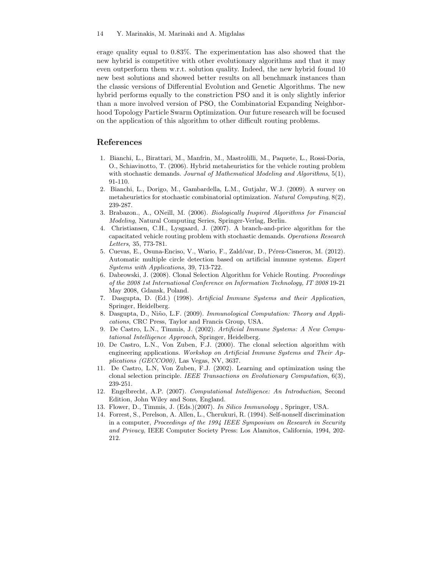erage quality equal to 0.83%. The experimentation has also showed that the new hybrid is competitive with other evolutionary algorithms and that it may even outperform them w.r.t. solution quality. Indeed, the new hybrid found 10 new best solutions and showed better results on all benchmark instances than the classic versions of Differential Evolution and Genetic Algorithms. The new hybrid performs equally to the constriction PSO and it is only slightly inferior than a more involved version of PSO, the Combinatorial Expanding Neighborhood Topology Particle Swarm Optimization. Our future research will be focused on the application of this algorithm to other difficult routing problems.

### **References**

- 1. Bianchi, L., Birattari, M., Manfrin, M., Mastrolilli, M., Paquete, L., Rossi-Doria, O., Schiavinotto, T. (2006). Hybrid metaheuristics for the vehicle routing problem with stochastic demands. *Journal of Mathematical Modeling and Algorithms*, 5(1), 91-110.
- 2. Bianchi, L., Dorigo, M., Gambardella, L.M., Gutjahr, W.J. (2009). A survey on metaheuristics for stochastic combinatorial optimization. *Natural Computing*, 8(2), 239-287.
- 3. Brabazon., A., ONeill, M. (2006). *Biologically Inspired Algorithms for Financial Modeling*, Natural Computing Series, Springer-Verlag, Berlin.
- 4. Christiansen, C.H., Lysgaard, J. (2007). A branch-and-price algorithm for the capacitated vehicle routing problem with stochastic demands. *Operations Research Letters*, 35, 773-781.
- 5. Cuevas, E., Osuna-Enciso, V., Wario, F., Zaldívar, D., Pérez-Cisneros, M. (2012). Automatic multiple circle detection based on artificial immune systems. *Expert Systems with Applications*, 39, 713-722.
- 6. Dabrowski, J. (2008). Clonal Selection Algorithm for Vehicle Routing. *Proceedings of the 2008 1st International Conference on Information Technology, IT 2008* 19-21 May 2008, Gdansk, Poland.
- 7. Dasgupta, D. (Ed.) (1998). *Artificial Immune Systems and their Application*, Springer, Heidelberg.
- 8. Dasgupta, D., Ni˜no, L.F. (2009). *Immunological Computation: Theory and Applications*, CRC Press, Taylor and Francis Group, USA.
- 9. De Castro, L.N., Timmis, J. (2002). *Artificial Immune Systems: A New Computational Intelligence Approach*, Springer, Heidelberg.
- 10. De Castro, L.N., Von Zuben, F.J. (2000). The clonal selection algorithm with engineering applications. *Workshop on Artificial Immune Systems and Their Applications (GECCO00)*, Las Vegas, NV, 3637.
- 11. De Castro, L.N, Von Zuben, F.J. (2002). Learning and optimization using the clonal selection principle. *IEEE Transactions on Evolutionary Computation*, 6(3), 239-251.
- 12. Engelbrecht, A.P. (2007). *Computational Intelligence: An Introduction*, Second Edition, John Wiley and Sons, England.
- 13. Flower, D., Timmis, J. (Eds.)(2007). *In Silico Immunology* , Springer, USA.
- 14. Forrest, S., Perelson, A. Allen, L., Cherukuri, R. (1994). Self-nonself discrimination in a computer, *Proceedings of the 1994 IEEE Symposium on Research in Security and Privacy*, IEEE Computer Society Press: Los Alamitos, California, 1994, 202- 212.